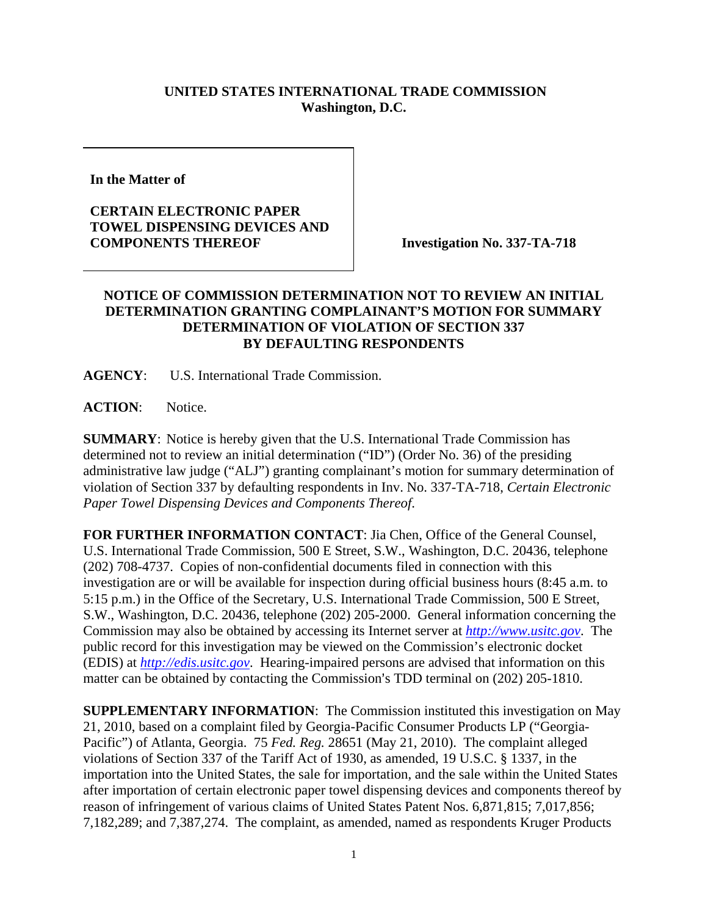## **UNITED STATES INTERNATIONAL TRADE COMMISSION Washington, D.C.**

**In the Matter of** 

## **CERTAIN ELECTRONIC PAPER TOWEL DISPENSING DEVICES AND COMPONENTS THEREOF INVestigation No. 337-TA-718**

## **NOTICE OF COMMISSION DETERMINATION NOT TO REVIEW AN INITIAL DETERMINATION GRANTING COMPLAINANT'S MOTION FOR SUMMARY DETERMINATION OF VIOLATION OF SECTION 337 BY DEFAULTING RESPONDENTS**

**AGENCY**: U.S. International Trade Commission.

**ACTION**: Notice.

**SUMMARY**: Notice is hereby given that the U.S. International Trade Commission has determined not to review an initial determination ("ID") (Order No. 36) of the presiding administrative law judge ("ALJ") granting complainant's motion for summary determination of violation of Section 337 by defaulting respondents in Inv. No. 337-TA-718, *Certain Electronic Paper Towel Dispensing Devices and Components Thereof*.

**FOR FURTHER INFORMATION CONTACT**: Jia Chen, Office of the General Counsel, U.S. International Trade Commission, 500 E Street, S.W., Washington, D.C. 20436, telephone (202) 708-4737. Copies of non-confidential documents filed in connection with this investigation are or will be available for inspection during official business hours (8:45 a.m. to 5:15 p.m.) in the Office of the Secretary, U.S. International Trade Commission, 500 E Street, S.W., Washington, D.C. 20436, telephone (202) 205-2000. General information concerning the Commission may also be obtained by accessing its Internet server at *http://www.usitc.gov*. The public record for this investigation may be viewed on the Commission's electronic docket (EDIS) at *http://edis.usitc.gov*. Hearing-impaired persons are advised that information on this matter can be obtained by contacting the Commission's TDD terminal on  $(202)$  205-1810.

**SUPPLEMENTARY INFORMATION**: The Commission instituted this investigation on May 21, 2010, based on a complaint filed by Georgia-Pacific Consumer Products LP ("Georgia-Pacific") of Atlanta, Georgia. 75 *Fed. Reg.* 28651 (May 21, 2010). The complaint alleged violations of Section 337 of the Tariff Act of 1930, as amended, 19 U.S.C. § 1337, in the importation into the United States, the sale for importation, and the sale within the United States after importation of certain electronic paper towel dispensing devices and components thereof by reason of infringement of various claims of United States Patent Nos. 6,871,815; 7,017,856; 7,182,289; and 7,387,274. The complaint, as amended, named as respondents Kruger Products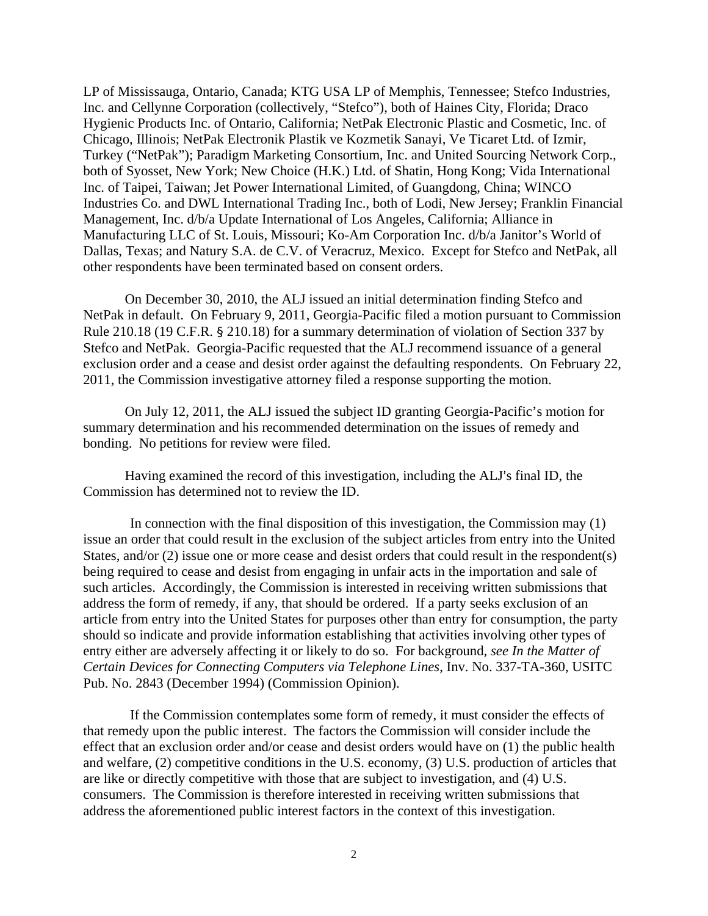LP of Mississauga, Ontario, Canada; KTG USA LP of Memphis, Tennessee; Stefco Industries, Inc. and Cellynne Corporation (collectively, "Stefco"), both of Haines City, Florida; Draco Hygienic Products Inc. of Ontario, California; NetPak Electronic Plastic and Cosmetic, Inc. of Chicago, Illinois; NetPak Electronik Plastik ve Kozmetik Sanayi, Ve Ticaret Ltd. of Izmir, Turkey ("NetPak"); Paradigm Marketing Consortium, Inc. and United Sourcing Network Corp., both of Syosset, New York; New Choice (H.K.) Ltd. of Shatin, Hong Kong; Vida International Inc. of Taipei, Taiwan; Jet Power International Limited, of Guangdong, China; WINCO Industries Co. and DWL International Trading Inc., both of Lodi, New Jersey; Franklin Financial Management, Inc. d/b/a Update International of Los Angeles, California; Alliance in Manufacturing LLC of St. Louis, Missouri; Ko-Am Corporation Inc. d/b/a Janitor's World of Dallas, Texas; and Natury S.A. de C.V. of Veracruz, Mexico. Except for Stefco and NetPak, all other respondents have been terminated based on consent orders.

On December 30, 2010, the ALJ issued an initial determination finding Stefco and NetPak in default. On February 9, 2011, Georgia-Pacific filed a motion pursuant to Commission Rule 210.18 (19 C.F.R. § 210.18) for a summary determination of violation of Section 337 by Stefco and NetPak. Georgia-Pacific requested that the ALJ recommend issuance of a general exclusion order and a cease and desist order against the defaulting respondents. On February 22, 2011, the Commission investigative attorney filed a response supporting the motion.

On July 12, 2011, the ALJ issued the subject ID granting Georgia-Pacific's motion for summary determination and his recommended determination on the issues of remedy and bonding. No petitions for review were filed.

Having examined the record of this investigation, including the ALJ's final ID, the Commission has determined not to review the ID.

In connection with the final disposition of this investigation, the Commission may (1) issue an order that could result in the exclusion of the subject articles from entry into the United States, and/or (2) issue one or more cease and desist orders that could result in the respondent(s) being required to cease and desist from engaging in unfair acts in the importation and sale of such articles. Accordingly, the Commission is interested in receiving written submissions that address the form of remedy, if any, that should be ordered. If a party seeks exclusion of an article from entry into the United States for purposes other than entry for consumption, the party should so indicate and provide information establishing that activities involving other types of entry either are adversely affecting it or likely to do so. For background, *see In the Matter of Certain Devices for Connecting Computers via Telephone Lines*, Inv. No. 337-TA-360, USITC Pub. No. 2843 (December 1994) (Commission Opinion).

If the Commission contemplates some form of remedy, it must consider the effects of that remedy upon the public interest. The factors the Commission will consider include the effect that an exclusion order and/or cease and desist orders would have on (1) the public health and welfare, (2) competitive conditions in the U.S. economy, (3) U.S. production of articles that are like or directly competitive with those that are subject to investigation, and (4) U.S. consumers. The Commission is therefore interested in receiving written submissions that address the aforementioned public interest factors in the context of this investigation.